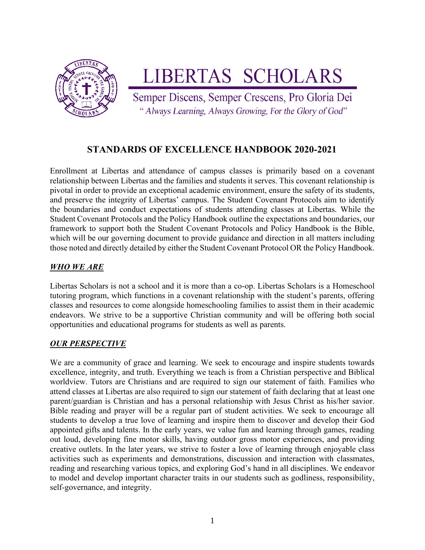

# LIBERTAS SCHOLARS

Semper Discens, Semper Crescens, Pro Gloria Dei " Always Learning, Always Growing, For the Glory of God"

## **STANDARDS OF EXCELLENCE HANDBOOK 2020-2021**

Enrollment at Libertas and attendance of campus classes is primarily based on a covenant relationship between Libertas and the families and students it serves. This covenant relationship is pivotal in order to provide an exceptional academic environment, ensure the safety of its students, and preserve the integrity of Libertas' campus. The Student Covenant Protocols aim to identify the boundaries and conduct expectations of students attending classes at Libertas. While the Student Covenant Protocols and the Policy Handbook outline the expectations and boundaries, our framework to support both the Student Covenant Protocols and Policy Handbook is the Bible, which will be our governing document to provide guidance and direction in all matters including those noted and directly detailed by either the Student Covenant Protocol OR the Policy Handbook.

## *WHO WE ARE*

Libertas Scholars is not a school and it is more than a co-op. Libertas Scholars is a Homeschool tutoring program, which functions in a covenant relationship with the student's parents, offering classes and resources to come alongside homeschooling families to assist them in their academic endeavors. We strive to be a supportive Christian community and will be offering both social opportunities and educational programs for students as well as parents.

## *OUR PERSPECTIVE*

We are a community of grace and learning. We seek to encourage and inspire students towards excellence, integrity, and truth. Everything we teach is from a Christian perspective and Biblical worldview. Tutors are Christians and are required to sign our statement of faith. Families who attend classes at Libertas are also required to sign our statement of faith declaring that at least one parent/guardian is Christian and has a personal relationship with Jesus Christ as his/her savior. Bible reading and prayer will be a regular part of student activities. We seek to encourage all students to develop a true love of learning and inspire them to discover and develop their God appointed gifts and talents. In the early years, we value fun and learning through games, reading out loud, developing fine motor skills, having outdoor gross motor experiences, and providing creative outlets. In the later years, we strive to foster a love of learning through enjoyable class activities such as experiments and demonstrations, discussion and interaction with classmates, reading and researching various topics, and exploring God's hand in all disciplines. We endeavor to model and develop important character traits in our students such as godliness, responsibility, self-governance, and integrity.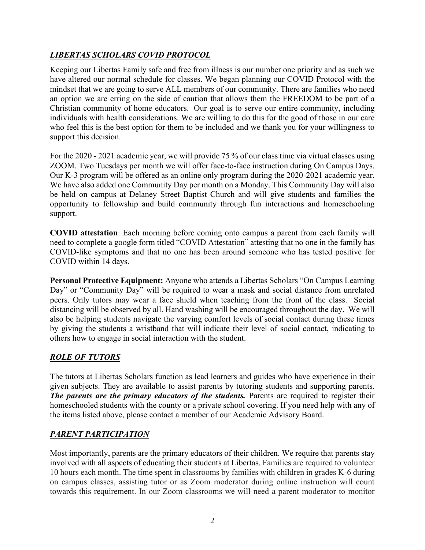## *LIBERTAS SCHOLARS COVID PROTOCOL*

Keeping our Libertas Family safe and free from illness is our number one priority and as such we have altered our normal schedule for classes. We began planning our COVID Protocol with the mindset that we are going to serve ALL members of our community. There are families who need an option we are erring on the side of caution that allows them the FREEDOM to be part of a Christian community of home educators. Our goal is to serve our entire community, including individuals with health considerations. We are willing to do this for the good of those in our care who feel this is the best option for them to be included and we thank you for your willingness to support this decision.

For the 2020 - 2021 academic year, we will provide 75 % of our class time via virtual classes using ZOOM. Two Tuesdays per month we will offer face-to-face instruction during On Campus Days. Our K-3 program will be offered as an online only program during the 2020-2021 academic year. We have also added one Community Day per month on a Monday. This Community Day will also be held on campus at Delaney Street Baptist Church and will give students and families the opportunity to fellowship and build community through fun interactions and homeschooling support.

**COVID attestation**: Each morning before coming onto campus a parent from each family will need to complete a google form titled "COVID Attestation" attesting that no one in the family has COVID-like symptoms and that no one has been around someone who has tested positive for COVID within 14 days.

**Personal Protective Equipment:** Anyone who attends a Libertas Scholars "On Campus Learning Day" or "Community Day" will be required to wear a mask and social distance from unrelated peers. Only tutors may wear a face shield when teaching from the front of the class. Social distancing will be observed by all. Hand washing will be encouraged throughout the day. We will also be helping students navigate the varying comfort levels of social contact during these times by giving the students a wristband that will indicate their level of social contact, indicating to others how to engage in social interaction with the student.

## *ROLE OF TUTORS*

The tutors at Libertas Scholars function as lead learners and guides who have experience in their given subjects. They are available to assist parents by tutoring students and supporting parents. *The parents are the primary educators of the students.* Parents are required to register their homeschooled students with the county or a private school covering. If you need help with any of the items listed above, please contact a member of our Academic Advisory Board.

## *PARENT PARTICIPATION*

Most importantly, parents are the primary educators of their children. We require that parents stay involved with all aspects of educating their students at Libertas. Families are required to volunteer 10 hours each month. The time spent in classrooms by families with children in grades K-6 during on campus classes, assisting tutor or as Zoom moderator during online instruction will count towards this requirement. In our Zoom classrooms we will need a parent moderator to monitor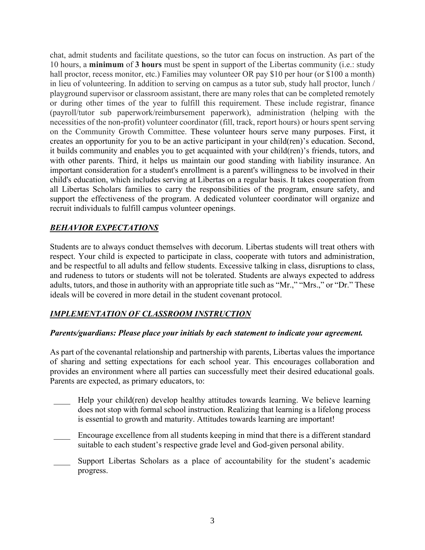chat, admit students and facilitate questions, so the tutor can focus on instruction. As part of the 10 hours, a **minimum** of **3 hours** must be spent in support of the Libertas community (i.e.: study hall proctor, recess monitor, etc.) Families may volunteer OR pay \$10 per hour (or \$100 a month) in lieu of volunteering. In addition to serving on campus as a tutor sub, study hall proctor, lunch / playground supervisor or classroom assistant, there are many roles that can be completed remotely or during other times of the year to fulfill this requirement. These include registrar, finance (payroll/tutor sub paperwork/reimbursement paperwork), administration (helping with the necessities of the non-profit) volunteer coordinator (fill, track, report hours) or hours spent serving on the Community Growth Committee. These volunteer hours serve many purposes. First, it creates an opportunity for you to be an active participant in your child(ren)'s education. Second, it builds community and enables you to get acquainted with your child(ren)'s friends, tutors, and with other parents. Third, it helps us maintain our good standing with liability insurance. An important consideration for a student's enrollment is a parent's willingness to be involved in their child's education, which includes serving at Libertas on a regular basis. It takes cooperation from all Libertas Scholars families to carry the responsibilities of the program, ensure safety, and support the effectiveness of the program. A dedicated volunteer coordinator will organize and recruit individuals to fulfill campus volunteer openings.

## *BEHAVIOR EXPECTATIONS*

Students are to always conduct themselves with decorum. Libertas students will treat others with respect. Your child is expected to participate in class, cooperate with tutors and administration, and be respectful to all adults and fellow students. Excessive talking in class, disruptions to class, and rudeness to tutors or students will not be tolerated. Students are always expected to address adults, tutors, and those in authority with an appropriate title such as "Mr.," "Mrs.," or "Dr." These ideals will be covered in more detail in the student covenant protocol.

#### *IMPLEMENTATION OF CLASSROOM INSTRUCTION*

#### *Parents/guardians: Please place your initials by each statement to indicate your agreement.*

As part of the covenantal relationship and partnership with parents, Libertas values the importance of sharing and setting expectations for each school year. This encourages collaboration and provides an environment where all parties can successfully meet their desired educational goals. Parents are expected, as primary educators, to:

- Help your child(ren) develop healthy attitudes towards learning. We believe learning does not stop with formal school instruction. Realizing that learning is a lifelong process is essential to growth and maturity. Attitudes towards learning are important!
- Encourage excellence from all students keeping in mind that there is a different standard suitable to each student's respective grade level and God-given personal ability.
- Support Libertas Scholars as a place of accountability for the student's academic progress.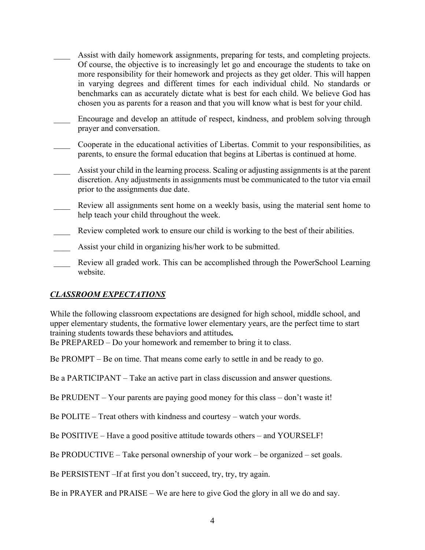- Assist with daily homework assignments, preparing for tests, and completing projects. Of course, the objective is to increasingly let go and encourage the students to take on more responsibility for their homework and projects as they get older. This will happen in varying degrees and different times for each individual child. No standards or benchmarks can as accurately dictate what is best for each child. We believe God has chosen you as parents for a reason and that you will know what is best for your child.
- Encourage and develop an attitude of respect, kindness, and problem solving through prayer and conversation.
- Cooperate in the educational activities of Libertas. Commit to your responsibilities, as parents, to ensure the formal education that begins at Libertas is continued at home.
- \_\_\_\_ Assist your child in the learning process. Scaling or adjusting assignments is at the parent discretion. Any adjustments in assignments must be communicated to the tutor via email prior to the assignments due date.
- Review all assignments sent home on a weekly basis, using the material sent home to help teach your child throughout the week.
- Review completed work to ensure our child is working to the best of their abilities.
- Assist your child in organizing his/her work to be submitted.
- Review all graded work. This can be accomplished through the PowerSchool Learning website.

#### *CLASSROOM EXPECTATIONS*

While the following classroom expectations are designed for high school, middle school, and upper elementary students, the formative lower elementary years, are the perfect time to start training students towards these behaviors and attitudes*.*

Be PREPARED – Do your homework and remember to bring it to class.

Be PROMPT – Be on time. That means come early to settle in and be ready to go.

Be a PARTICIPANT – Take an active part in class discussion and answer questions.

Be PRUDENT – Your parents are paying good money for this class – don't waste it!

Be POLITE – Treat others with kindness and courtesy – watch your words.

Be POSITIVE – Have a good positive attitude towards others – and YOURSELF!

Be PRODUCTIVE – Take personal ownership of your work – be organized – set goals.

Be PERSISTENT –If at first you don't succeed, try, try, try again.

Be in PRAYER and PRAISE – We are here to give God the glory in all we do and say.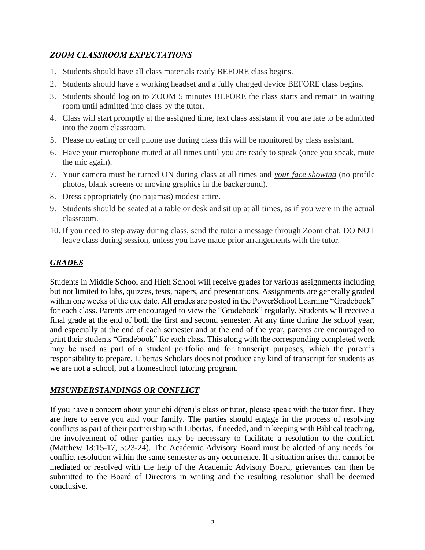## *ZOOM CLASSROOM EXPECTATIONS*

- 1. Students should have all class materials ready BEFORE class begins.
- 2. Students should have a working headset and a fully charged device BEFORE class begins.
- 3. Students should log on to ZOOM 5 minutes BEFORE the class starts and remain in waiting room until admitted into class by the tutor.
- 4. Class will start promptly at the assigned time, text class assistant if you are late to be admitted into the zoom classroom.
- 5. Please no eating or cell phone use during class this will be monitored by class assistant.
- 6. Have your microphone muted at all times until you are ready to speak (once you speak, mute the mic again).
- 7. Your camera must be turned ON during class at all times and *your face showing* (no profile photos, blank screens or moving graphics in the background).
- 8. Dress appropriately (no pajamas) modest attire.
- 9. Students should be seated at a table or desk and sit up at all times, as if you were in the actual classroom.
- 10. If you need to step away during class, send the tutor a message through Zoom chat. DO NOT leave class during session, unless you have made prior arrangements with the tutor.

## *GRADES*

Students in Middle School and High School will receive grades for various assignments including but not limited to labs, quizzes, tests, papers, and presentations. Assignments are generally graded within one weeks of the due date. All grades are posted in the PowerSchool Learning "Gradebook" for each class. Parents are encouraged to view the "Gradebook" regularly. Students will receive a final grade at the end of both the first and second semester. At any time during the school year, and especially at the end of each semester and at the end of the year, parents are encouraged to print their students "Gradebook" for each class. This along with the corresponding completed work may be used as part of a student portfolio and for transcript purposes, which the parent's responsibility to prepare. Libertas Scholars does not produce any kind of transcript for students as we are not a school, but a homeschool tutoring program.

#### *MISUNDERSTANDINGS OR CONFLICT*

If you have a concern about your child(ren)'s class or tutor, please speak with the tutor first. They are here to serve you and your family. The parties should engage in the process of resolving conflicts as part of their partnership with Libertas. If needed, and in keeping with Biblical teaching, the involvement of other parties may be necessary to facilitate a resolution to the conflict. (Matthew 18:15-17, 5:23-24). The Academic Advisory Board must be alerted of any needs for conflict resolution within the same semester as any occurrence. If a situation arises that cannot be mediated or resolved with the help of the Academic Advisory Board, grievances can then be submitted to the Board of Directors in writing and the resulting resolution shall be deemed conclusive.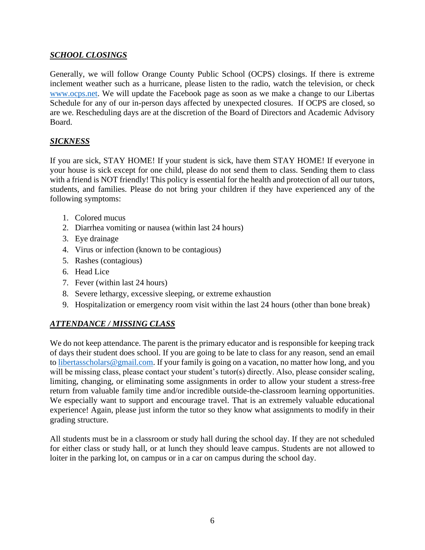## *SCHOOL CLOSINGS*

Generally, we will follow Orange County Public School (OCPS) closings. If there is extreme inclement weather such as a hurricane, please listen to the radio, watch the television, or chec[k](http://www.ocps.net/) [www.ocps.net.](http://www.ocps.net/) We will update the Facebook page as soon as we make a change to our Libertas Schedule for any of our in-person days affected by unexpected closures. If OCPS are closed, so are we. Rescheduling days are at the discretion of the Board of Directors and Academic Advisory Board.

## *SICKNESS*

If you are sick, STAY HOME! If your student is sick, have them STAY HOME! If everyone in your house is sick except for one child, please do not send them to class. Sending them to class with a friend is NOT friendly! This policy is essential for the health and protection of all our tutors, students, and families. Please do not bring your children if they have experienced any of the following symptoms:

- 1. Colored mucus
- 2. Diarrhea vomiting or nausea (within last 24 hours)
- 3. Eye drainage
- 4. Virus or infection (known to be contagious)
- 5. Rashes (contagious)
- 6. Head Lice
- 7. Fever (within last 24 hours)
- 8. Severe lethargy, excessive sleeping, or extreme exhaustion
- 9. Hospitalization or emergency room visit within the last 24 hours (other than bone break)

## *ATTENDANCE / MISSING CLASS*

We do not keep attendance. The parent is the primary educator and is responsible for keeping track of days their student does school. If you are going to be late to class for any reason, send an email to [libertasscholars@gmail.com.](mailto:libertasscholars@gmail.com) If your family is going on a vacation, no matter how long, and you will be missing class, please contact your student's tutor(s) directly. Also, please consider scaling, limiting, changing, or eliminating some assignments in order to allow your student a stress-free return from valuable family time and/or incredible outside-the-classroom learning opportunities. We especially want to support and encourage travel. That is an extremely valuable educational experience! Again, please just inform the tutor so they know what assignments to modify in their grading structure.

All students must be in a classroom or study hall during the school day. If they are not scheduled for either class or study hall, or at lunch they should leave campus. Students are not allowed to loiter in the parking lot, on campus or in a car on campus during the school day.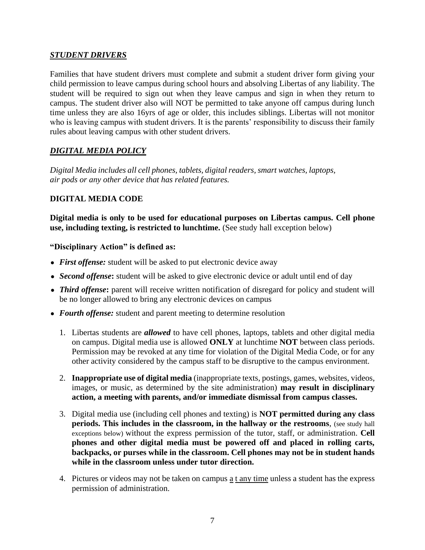#### *STUDENT DRIVERS*

Families that have student drivers must complete and submit a student driver form giving your child permission to leave campus during school hours and absolving Libertas of any liability. The student will be required to sign out when they leave campus and sign in when they return to campus. The student driver also will NOT be permitted to take anyone off campus during lunch time unless they are also 16yrs of age or older, this includes siblings. Libertas will not monitor who is leaving campus with student drivers. It is the parents' responsibility to discuss their family rules about leaving campus with other student drivers.

## *DIGITAL MEDIA POLICY*

*Digital Media includes all cell phones, tablets, digital readers, smart watches, laptops, air pods or any other device that has related features.*

## **DIGITAL MEDIA CODE**

**Digital media is only to be used for educational purposes on Libertas campus. Cell phone use, including texting, is restricted to lunchtime.** (See study hall exception below)

#### **"Disciplinary Action" is defined as:**

- *First offense:* student will be asked to put electronic device away
- *Second offense*: student will be asked to give electronic device or adult until end of day
- *Third offense*: parent will receive written notification of disregard for policy and student will be no longer allowed to bring any electronic devices on campus
- *Fourth offense:* student and parent meeting to determine resolution
	- 1. Libertas students are *allowed* to have cell phones, laptops, tablets and other digital media on campus. Digital media use is allowed **ONLY** at lunchtime **NOT** between class periods. Permission may be revoked at any time for violation of the Digital Media Code, or for any other activity considered by the campus staff to be disruptive to the campus environment.
	- 2. **Inappropriate use of digital media** (inappropriate texts, postings, games, websites, videos, images, or music, as determined by the site administration) **may result in disciplinary action, a meeting with parents, and/or immediate dismissal from campus classes.**
	- 3. Digital media use (including cell phones and texting) is **NOT permitted during any class periods. This includes in the classroom, in the hallway or the restrooms**, (see study hall exceptions below) without the express permission of the tutor, staff, or administration. **Cell phones and other digital media must be powered off and placed in rolling carts, backpacks, or purses while in the classroom. Cell phones may not be in student hands while in the classroom unless under tutor direction.**
	- 4. Pictures or videos may not be taken on campus a t any time unless a student has the express permission of administration.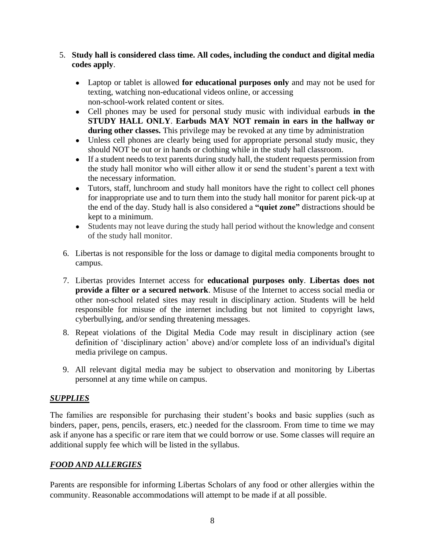- 5. **Study hall is considered class time. All codes, including the conduct and digital media codes apply**.
	- Laptop or tablet is allowed **for educational purposes only** and may not be used for texting, watching non-educational videos online, or accessing non-school-work related content or sites.
	- Cell phones may be used for personal study music with individual earbuds **in the STUDY HALL ONLY**. **Earbuds MAY NOT remain in ears in the hallway or during other classes.** This privilege may be revoked at any time by administration
	- Unless cell phones are clearly being used for appropriate personal study music, they should NOT be out or in hands or clothing while in the study hall classroom.
	- If a student needs to text parents during study hall, the student requests permission from the study hall monitor who will either allow it or send the student's parent a text with the necessary information.
	- Tutors, staff, lunchroom and study hall monitors have the right to collect cell phones for inappropriate use and to turn them into the study hall monitor for parent pick-up at the end of the day. Study hall is also considered a **"quiet zone"** distractions should be kept to a minimum.
	- Students may not leave during the study hall period without the knowledge and consent of the study hall monitor.
- 6. Libertas is not responsible for the loss or damage to digital media components brought to campus.
- 7. Libertas provides Internet access for **educational purposes only**. **Libertas does not provide a filter or a secured network**. Misuse of the Internet to access social media or other non-school related sites may result in disciplinary action. Students will be held responsible for misuse of the internet including but not limited to copyright laws, cyberbullying, and/or sending threatening messages.
- 8. Repeat violations of the Digital Media Code may result in disciplinary action (see definition of 'disciplinary action' above) and/or complete loss of an individual's digital media privilege on campus.
- 9. All relevant digital media may be subject to observation and monitoring by Libertas personnel at any time while on campus.

#### *SUPPLIES*

The families are responsible for purchasing their student's books and basic supplies (such as binders, paper, pens, pencils, erasers, etc.) needed for the classroom. From time to time we may ask if anyone has a specific or rare item that we could borrow or use. Some classes will require an additional supply fee which will be listed in the syllabus.

## *FOOD AND ALLERGIES*

Parents are responsible for informing Libertas Scholars of any food or other allergies within the community. Reasonable accommodations will attempt to be made if at all possible.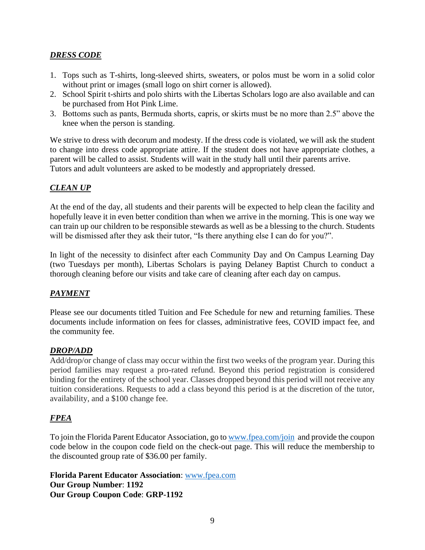## *DRESS CODE*

- 1. Tops such as T-shirts, long-sleeved shirts, sweaters, or polos must be worn in a solid color without print or images (small logo on shirt corner is allowed).
- 2. School Spirit t-shirts and polo shirts with the Libertas Scholars logo are also available and can be purchased from Hot Pink Lime.
- 3. Bottoms such as pants, Bermuda shorts, capris, or skirts must be no more than 2.5" above the knee when the person is standing.

We strive to dress with decorum and modesty. If the dress code is violated, we will ask the student to change into dress code appropriate attire. If the student does not have appropriate clothes, a parent will be called to assist. Students will wait in the study hall until their parents arrive. Tutors and adult volunteers are asked to be modestly and appropriately dressed.

#### *CLEAN UP*

At the end of the day, all students and their parents will be expected to help clean the facility and hopefully leave it in even better condition than when we arrive in the morning. This is one way we can train up our children to be responsible stewards as well as be a blessing to the church. Students will be dismissed after they ask their tutor, "Is there anything else I can do for you?".

In light of the necessity to disinfect after each Community Day and On Campus Learning Day (two Tuesdays per month), Libertas Scholars is paying Delaney Baptist Church to conduct a thorough cleaning before our visits and take care of cleaning after each day on campus.

#### *PAYMENT*

Please see our documents titled Tuition and Fee Schedule for new and returning families. These documents include information on fees for classes, administrative fees, COVID impact fee, and the community fee.

#### *DROP/ADD*

Add/drop/or change of class may occur within the first two weeks of the program year. During this period families may request a pro-rated refund. Beyond this period registration is considered binding for the entirety of the school year. Classes dropped beyond this period will not receive any tuition considerations. Requests to add a class beyond this period is at the discretion of the tutor, availability, and a \$100 change fee.

#### *FPEA*

To join the Florida Parent Educator Association, go to [www.fpea.com/join](http://www.fpea.com/join) [a](http://www.fpea.com/join)nd provide the coupon code below in the coupon code field on the check-out page. This will reduce the membership to the discounted group rate of \$36.00 per family.

**Florida Parent Educator Association**: [www.fpea.com](http://www.fpea.com/) **Our Group Number**: **1192 Our Group Coupon Code**: **GRP-1192**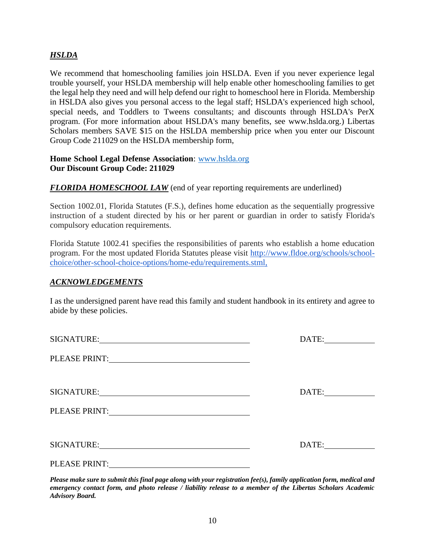#### *HSLDA*

We recommend that homeschooling families join HSLDA. Even if you never experience legal trouble yourself, your HSLDA membership will help enable other homeschooling families to get the legal help they need and will help defend our right to homeschool here in Florida. Membership in HSLDA also gives you personal access to the legal staff; HSLDA's experienced high school, special needs, and Toddlers to Tweens consultants; and discounts through HSLDA's PerX program. (For more information about HSLDA's many benefits, see www.hslda.org.) Libertas Scholars members SAVE \$15 on the HSLDA membership price when you enter our Discount Group Code 211029 on the HSLDA membership form,

#### **Home School Legal Defense Association**: [www.hslda.org](http://www.hslda.org/) **Our Discount Group Code: 211029**

#### *FLORIDA HOMESCHOOL LAW* (end of year reporting requirements are underlined)

Section 1002.01, Florida Statutes (F.S.), defines home education as the sequentially progressive instruction of a student directed by his or her parent or guardian in order to satisfy Florida's compulsory education requirements.

Florida Statute 1002.41 specifies the responsibilities of parents who establish a home education program. For the most updated Florida Statutes please visit [http://www.fldoe.org/schools/school](http://www.fldoe.org/schools/school-choice/other-school-choice-options/home-edu/requirements.stml)[choice/other-school-choice-options/home-edu/requirements.stml,](http://www.fldoe.org/schools/school-choice/other-school-choice-options/home-edu/requirements.stml)

#### *ACKNOWLEDGEMENTS*

I as the undersigned parent have read this family and student handbook in its entirety and agree to abide by these policies.

| SIGNATURE:                                           | DATE: |
|------------------------------------------------------|-------|
| PLEASE PRINT: VALUE AND THE PLEASE PRINT:            |       |
| SIGNATURE:                                           | DATE: |
| PLEASE PRINT: University of the Second PLEASE PRINT: |       |
| <b>SIGNATURE:</b>                                    | DATE: |
| PLEASE PRINT:                                        |       |

*Please make sure to submit this final page along with your registration fee(s), family application form, medical and emergency contact form, and photo release / liability release to a member of the Libertas Scholars Academic Advisory Board.*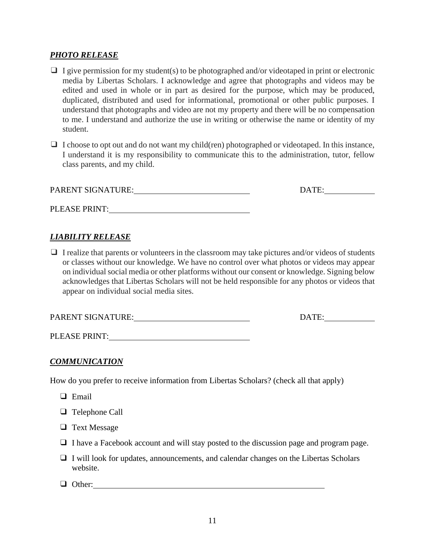#### *PHOTO RELEASE*

- $\Box$  I give permission for my student(s) to be photographed and/or videotaped in print or electronic media by Libertas Scholars. I acknowledge and agree that photographs and videos may be edited and used in whole or in part as desired for the purpose, which may be produced, duplicated, distributed and used for informational, promotional or other public purposes. I understand that photographs and video are not my property and there will be no compensation to me. I understand and authorize the use in writing or otherwise the name or identity of my student.
- $\Box$  I choose to opt out and do not want my child(ren) photographed or videotaped. In this instance, I understand it is my responsibility to communicate this to the administration, tutor, fellow class parents, and my child.

| PARENT SIGNATURE: | $\Gamma$ $\Gamma$ |
|-------------------|-------------------|
|                   |                   |

## *LIABILITY RELEASE*

 $\Box$  I realize that parents or volunteers in the classroom may take pictures and/or videos of students or classes without our knowledge. We have no control over what photos or videos may appear on individual social media or other platforms without our consent or knowledge. Signing below acknowledges that Libertas Scholars will not be held responsible for any photos or videos that appear on individual social media sites.

PARENT SIGNATURE: DATE: DATE:

PLEASE PRINT:

#### *COMMUNICATION*

How do you prefer to receive information from Libertas Scholars? (check all that apply)

- ❑ Email
- ❑ Telephone Call
- ❑ Text Message
- ❑ I have a Facebook account and will stay posted to the discussion page and program page.
- ❑ I will look for updates, announcements, and calendar changes on the Libertas Scholars website.
- ❑ Other: